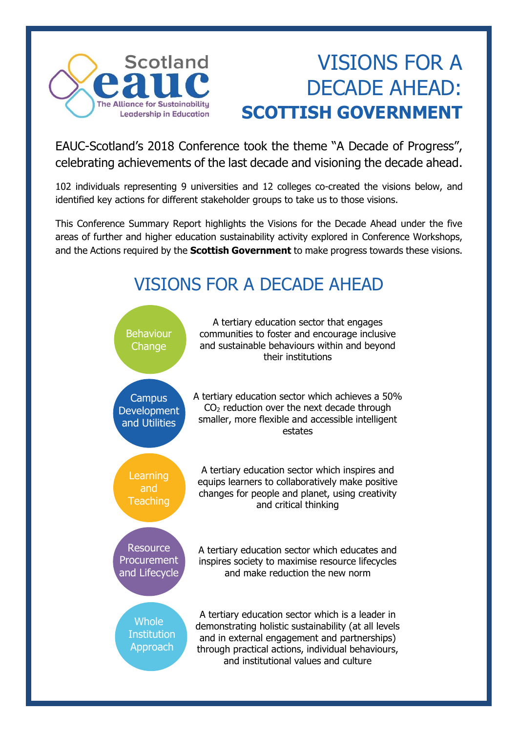

# VISIONS FOR A DECADE AHEAD: **SCOTTISH GOVERNMENT**

EAUC-Scotland's 2018 Conference took the theme "A Decade of Progress", celebrating achievements of the last decade and visioning the decade ahead.

102 individuals representing 9 universities and 12 colleges co-created the visions below, and identified key actions for different stakeholder groups to take us to those visions.

This Conference Summary Report highlights the Visions for the Decade Ahead under the five areas of further and higher education sustainability activity explored in Conference Workshops, and the Actions required by the **Scottish Government** to make progress towards these visions.

## VISIONS FOR A DECADE AHEAD